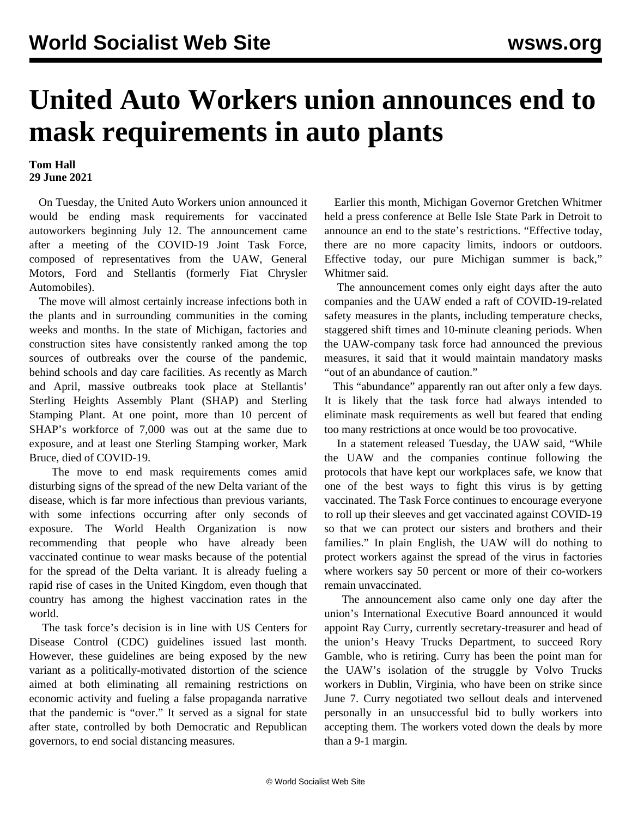## **United Auto Workers union announces end to mask requirements in auto plants**

## **Tom Hall 29 June 2021**

 On Tuesday, the United Auto Workers union announced it would be ending mask requirements for vaccinated autoworkers beginning July 12. The announcement came after a meeting of the COVID-19 Joint Task Force, composed of representatives from the UAW, General Motors, Ford and Stellantis (formerly Fiat Chrysler Automobiles).

 The move will almost certainly increase infections both in the plants and in surrounding communities in the coming weeks and months. In the state of Michigan, factories and construction sites have consistently ranked among the top sources of outbreaks over the course of the pandemic, behind schools and day care facilities. As recently as March and April, massive outbreaks took place at Stellantis' Sterling Heights Assembly Plant (SHAP) and Sterling Stamping Plant. At one point, more than 10 percent of SHAP's workforce of 7,000 was out at the same due to exposure, and at least one Sterling Stamping worker, Mark Bruce, died of COVID-19.

 The move to end mask requirements comes amid disturbing signs of the spread of the new Delta variant of the disease, which is far more infectious than previous variants, with some infections occurring after only seconds of exposure. The World Health Organization is now recommending that people who have already been vaccinated continue to wear masks because of the potential for the spread of the Delta variant. It is already fueling a rapid rise of cases in the United Kingdom, even though that country has among the highest vaccination rates in the world.

 The task force's decision is in line with US Centers for Disease Control (CDC) guidelines issued last month. However, these guidelines are being exposed by the new variant as a politically-motivated distortion of the science aimed at both eliminating all remaining restrictions on economic activity and fueling a false propaganda narrative that the pandemic is "over." It served as a signal for state after state, controlled by both Democratic and Republican governors, to end social distancing measures.

 Earlier this month, Michigan Governor Gretchen Whitmer held a press conference at Belle Isle State Park in Detroit to announce an end to the state's restrictions. "Effective today, there are no more capacity limits, indoors or outdoors. Effective today, our pure Michigan summer is back," Whitmer said.

 The announcement comes only eight days after the auto companies and the UAW ended a raft of COVID-19-related safety measures in the plants, including temperature checks, staggered shift times and 10-minute cleaning periods. When the UAW-company task force had announced the previous measures, it said that it would maintain mandatory masks "out of an abundance of caution."

 This "abundance" apparently ran out after only a few days. It is likely that the task force had always intended to eliminate mask requirements as well but feared that ending too many restrictions at once would be too provocative.

 In a statement released Tuesday, the UAW said, "While the UAW and the companies continue following the protocols that have kept our workplaces safe, we know that one of the best ways to fight this virus is by getting vaccinated. The Task Force continues to encourage everyone to roll up their sleeves and get vaccinated against COVID-19 so that we can protect our sisters and brothers and their families." In plain English, the UAW will do nothing to protect workers against the spread of the virus in factories where workers say 50 percent or more of their co-workers remain unvaccinated.

 The announcement also came only one day after the union's International Executive Board announced it would appoint Ray Curry, currently secretary-treasurer and head of the union's Heavy Trucks Department, to succeed Rory Gamble, who is retiring. Curry has been the point man for the UAW's isolation of the struggle by Volvo Trucks workers in Dublin, Virginia, who have been on strike since June 7. Curry negotiated two sellout deals and intervened personally in an unsuccessful bid to bully workers into accepting them. The workers voted down the deals by more than a 9-1 margin.